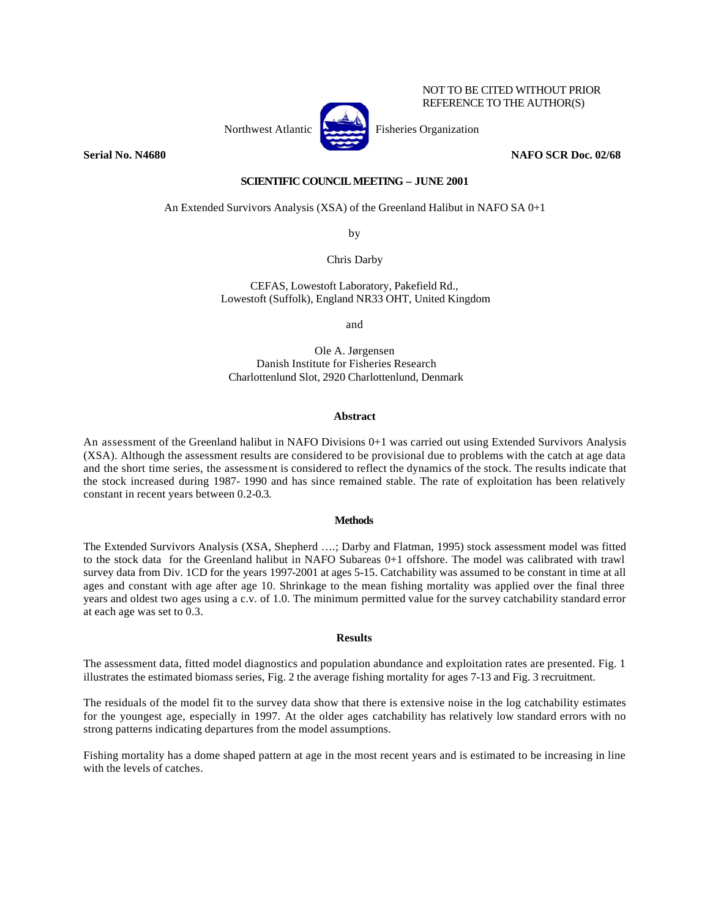

NOT TO BE CITED WITHOUT PRIOR REFERENCE TO THE AUTHOR(S)

# **Serial No. N4680 NAFO SCR Doc. 02/68**

# **SCIENTIFIC COUNCIL MEETING – JUNE 2001**

### An Extended Survivors Analysis (XSA) of the Greenland Halibut in NAFO SA 0+1

by

Chris Darby

CEFAS, Lowestoft Laboratory, Pakefield Rd., Lowestoft (Suffolk), England NR33 OHT, United Kingdom

and

Ole A. Jørgensen Danish Institute for Fisheries Research Charlottenlund Slot, 2920 Charlottenlund, Denmark

### **Abstract**

An assessment of the Greenland halibut in NAFO Divisions 0+1 was carried out using Extended Survivors Analysis (XSA). Although the assessment results are considered to be provisional due to problems with the catch at age data and the short time series, the assessment is considered to reflect the dynamics of the stock. The results indicate that the stock increased during 1987- 1990 and has since remained stable. The rate of exploitation has been relatively constant in recent years between 0.2-0.3.

#### **Methods**

The Extended Survivors Analysis (XSA, Shepherd ….; Darby and Flatman, 1995) stock assessment model was fitted to the stock data for the Greenland halibut in NAFO Subareas 0+1 offshore. The model was calibrated with trawl survey data from Div. 1CD for the years 1997-2001 at ages 5-15. Catchability was assumed to be constant in time at all ages and constant with age after age 10. Shrinkage to the mean fishing mortality was applied over the final three years and oldest two ages using a c.v. of 1.0. The minimum permitted value for the survey catchability standard error at each age was set to 0.3.

# **Results**

The assessment data, fitted model diagnostics and population abundance and exploitation rates are presented. Fig. 1 illustrates the estimated biomass series, Fig. 2 the average fishing mortality for ages 7-13 and Fig. 3 recruitment.

The residuals of the model fit to the survey data show that there is extensive noise in the log catchability estimates for the youngest age, especially in 1997. At the older ages catchability has relatively low standard errors with no strong patterns indicating departures from the model assumptions.

Fishing mortality has a dome shaped pattern at age in the most recent years and is estimated to be increasing in line with the levels of catches.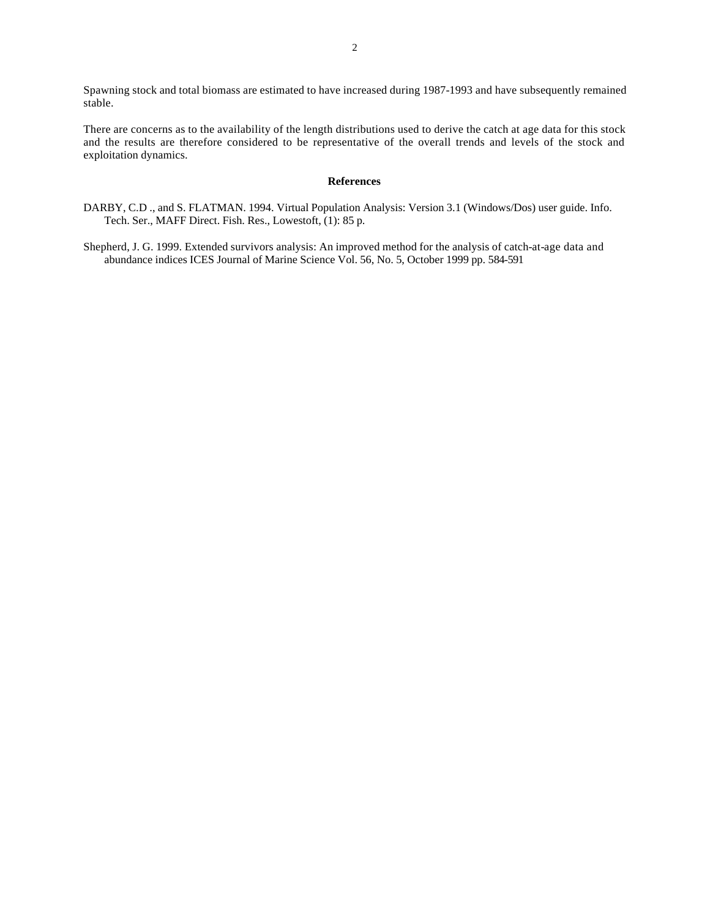Spawning stock and total biomass are estimated to have increased during 1987-1993 and have subsequently remained stable.

There are concerns as to the availability of the length distributions used to derive the catch at age data for this stock and the results are therefore considered to be representative of the overall trends and levels of the stock and exploitation dynamics.

# **References**

- DARBY, C.D ., and S. FLATMAN. 1994. Virtual Population Analysis: Version 3.1 (Windows/Dos) user guide. Info. Tech. Ser., MAFF Direct. Fish. Res., Lowestoft, (1): 85 p.
- Shepherd, J. G. 1999. Extended survivors analysis: An improved method for the analysis of catch-at-age data and abundance indices ICES Journal of Marine Science Vol. 56, No. 5, October 1999 pp. 584-591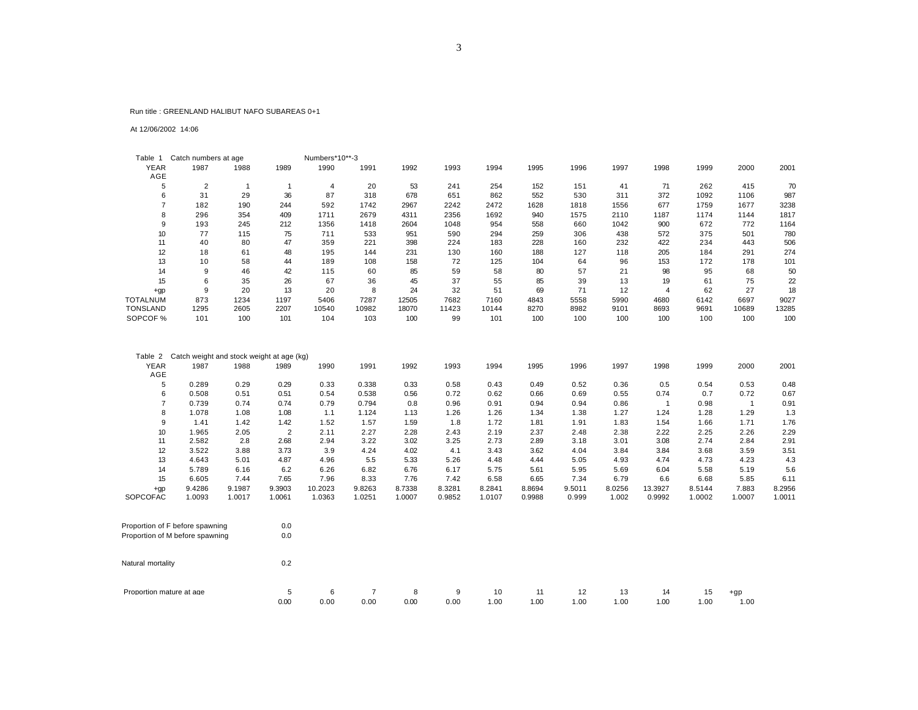#### Run title : GREENLAND HALIBUT NAFO SUBAREAS 0+1

At 12/06/2002 14:06

| Table 1            | Catch numbers at age |      |      | Numbers*10**-3 |       |       |       |       |      |      |      |      |      |       |       |
|--------------------|----------------------|------|------|----------------|-------|-------|-------|-------|------|------|------|------|------|-------|-------|
| <b>YEAR</b><br>AGE | 1987                 | 1988 | 1989 | 1990           | 1991  | 1992  | 1993  | 1994  | 1995 | 1996 | 1997 | 1998 | 1999 | 2000  | 2001  |
| 5                  | $\overline{2}$       |      |      | 4              | 20    | 53    | 241   | 254   | 152  | 151  | 41   | 71   | 262  | 415   | 70    |
| 6                  | 31                   | 29   | 36   | 87             | 318   | 678   | 651   | 862   | 552  | 530  | 311  | 372  | 1092 | 1106  | 987   |
|                    | 182                  | 190  | 244  | 592            | 1742  | 2967  | 2242  | 2472  | 1628 | 1818 | 1556 | 677  | 1759 | 1677  | 3238  |
| 8                  | 296                  | 354  | 409  | 1711           | 2679  | 4311  | 2356  | 1692  | 940  | 1575 | 2110 | 1187 | 1174 | 1144  | 1817  |
| 9                  | 193                  | 245  | 212  | 1356           | 1418  | 2604  | 1048  | 954   | 558  | 660  | 1042 | 900  | 672  | 772   | 1164  |
| 10                 | 77                   | 115  | 75   | 711            | 533   | 951   | 590   | 294   | 259  | 306  | 438  | 572  | 375  | 501   | 780   |
|                    | 40                   | 80   | 47   | 359            | 221   | 398   | 224   | 183   | 228  | 160  | 232  | 422  | 234  | 443   | 506   |
| 12                 | 18                   | 61   | 48   | 195            | 144   | 231   | 130   | 160   | 188  | 127  | 118  | 205  | 184  | 291   | 274   |
| 13                 | 10                   | 58   | 44   | 189            | 108   | 158   | 72    | 125   | 104  | 64   | 96   | 153  | 172  | 178   | 101   |
| 14                 | 9                    | 46   | 42   | 115            | 60    | 85    | 59    | 58    | 80   | 57   | 21   | 98   | 95   | 68    | 50    |
| 15                 | 6                    | 35   | 26   | 67             | 36    | 45    | 37    | 55    | 85   | 39   | 13   | 19   | 61   | 75    | 22    |
| $+qp$              | 9                    | 20   | 13   | 20             | 8     | 24    | 32    | 51    | 69   | 71   | 12   | 4    | 62   | 27    | 18    |
| <b>TOTALNUM</b>    | 873                  | 1234 | 1197 | 5406           | 7287  | 12505 | 7682  | 7160  | 4843 | 5558 | 5990 | 4680 | 6142 | 6697  | 9027  |
| <b>TONSLAND</b>    | 1295                 | 2605 | 2207 | 10540          | 10982 | 18070 | 11423 | 10144 | 8270 | 8982 | 9101 | 8693 | 9691 | 10689 | 13285 |
| SOPCOF %           | 101                  | 100  | 101  | 104            | 103   | 100   | 99    | 101   | 100  | 100  | 100  | 100  | 100  | 100   | 100   |

| Table           | Catch weight and stock weight at age (kg) |        |                |         |        |        |        |        |        |        |        |         |        |        |        |
|-----------------|-------------------------------------------|--------|----------------|---------|--------|--------|--------|--------|--------|--------|--------|---------|--------|--------|--------|
| <b>YEAR</b>     | 1987                                      | 1988   | 1989           | 1990    | 1991   | 1992   | 1993   | 1994   | 1995   | 1996   | 1997   | 1998    | 1999   | 2000   | 2001   |
| AGE             |                                           |        |                |         |        |        |        |        |        |        |        |         |        |        |        |
| 5               | 0.289                                     | 0.29   | 0.29           | 0.33    | 0.338  | 0.33   | 0.58   | 0.43   | 0.49   | 0.52   | 0.36   | 0.5     | 0.54   | 0.53   | 0.48   |
| 6               | 0.508                                     | 0.51   | 0.51           | 0.54    | 0.538  | 0.56   | 0.72   | 0.62   | 0.66   | 0.69   | 0.55   | 0.74    | 0.7    | 0.72   | 0.67   |
|                 | 0.739                                     | 0.74   | 0.74           | 0.79    | 0.794  | 0.8    | 0.96   | 0.91   | 0.94   | 0.94   | 0.86   |         | 0.98   |        | 0.91   |
| 8               | 1.078                                     | 1.08   | 1.08           | 1.1     | 1.124  | 1.13   | 1.26   | 1.26   | 1.34   | 1.38   | 1.27   | 1.24    | 1.28   | 1.29   | 1.3    |
| 9               | 1.41                                      | 1.42   | 1.42           | 1.52    | 1.57   | 1.59   | 1.8    | 1.72   | 1.81   | 1.91   | 1.83   | 1.54    | 1.66   | 1.71   | 1.76   |
| 10              | 1.965                                     | 2.05   | $\overline{2}$ | 2.11    | 2.27   | 2.28   | 2.43   | 2.19   | 2.37   | 2.48   | 2.38   | 2.22    | 2.25   | 2.26   | 2.29   |
| 11              | 2.582                                     | 2.8    | 2.68           | 2.94    | 3.22   | 3.02   | 3.25   | 2.73   | 2.89   | 3.18   | 3.01   | 3.08    | 2.74   | 2.84   | 2.91   |
| 12              | 3.522                                     | 3.88   | 3.73           | 3.9     | 4.24   | 4.02   | 4.1    | 3.43   | 3.62   | 4.04   | 3.84   | 3.84    | 3.68   | 3.59   | 3.51   |
| 13              | 4.643                                     | 5.01   | 4.87           | 4.96    | 5.5    | 5.33   | 5.26   | 4.48   | 4.44   | 5.05   | 4.93   | 4.74    | 4.73   | 4.23   | 4.3    |
| 14              | 5.789                                     | 6.16   | 6.2            | 6.26    | 6.82   | 6.76   | 6.17   | 5.75   | 5.61   | 5.95   | 5.69   | 6.04    | 5.58   | 5.19   | 5.6    |
| 15              | 6.605                                     | 7.44   | 7.65           | 7.96    | 8.33   | 7.76   | 7.42   | 6.58   | 6.65   | 7.34   | 6.79   | 6.6     | 6.68   | 5.85   | 6.11   |
| $+qp$           | 9.4286                                    | 9.1987 | 9.3903         | 10.2023 | 9.8263 | 8.7338 | 8.3281 | 8.2841 | 8.8694 | 9.5011 | 8.0256 | 13.3927 | 8.5144 | 7.883  | 8.2956 |
| <b>SOPCOFAC</b> | 1.0093                                    | 1.0017 | 1.0061         | 1.0363  | 1.0251 | 1.0007 | 0.9852 | 1.0107 | 0.9988 | 0.999  | 1.002  | 0.9992  | 1.0002 | 1.0007 | 1.0011 |

| Proportion of F before spawning<br>Proportion of M before spawning | 0.0<br>0.0 |           |      |           |           |            |            |            |            |            |            |               |
|--------------------------------------------------------------------|------------|-----------|------|-----------|-----------|------------|------------|------------|------------|------------|------------|---------------|
| Natural mortality                                                  | 0.2        |           |      |           |           |            |            |            |            |            |            |               |
| Proportion mature at age                                           | b<br>0.00  | 6<br>0.00 | 0.00 | 8<br>0.00 | 9<br>0.00 | 10<br>1.00 | 11<br>1.00 | 12<br>00.1 | 13<br>1.00 | 14<br>1.00 | 15<br>1.00 | $+gp$<br>1.00 |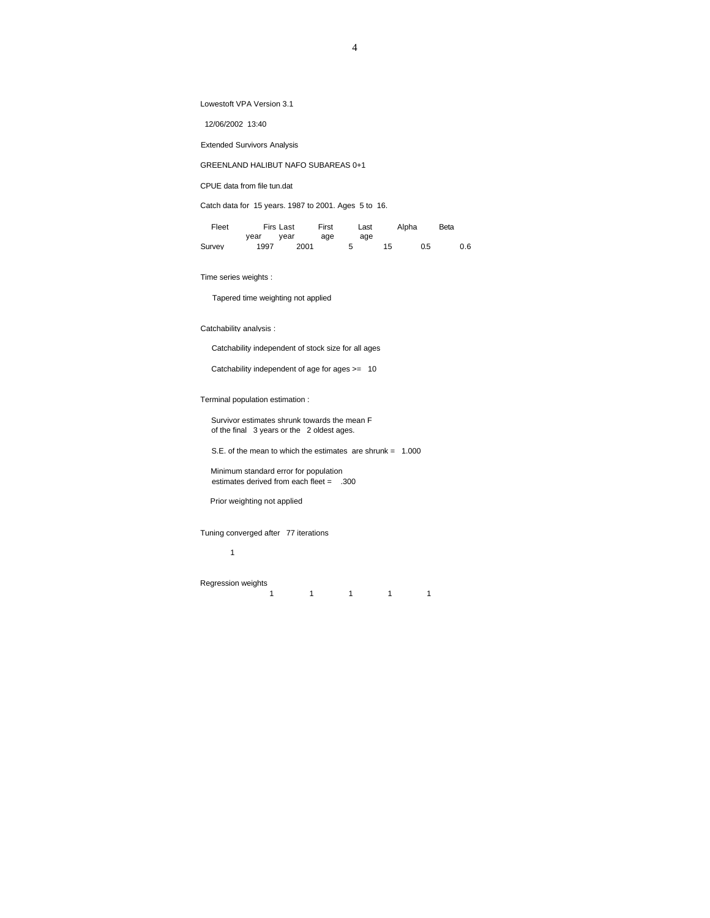Lowestoft VPA Version 3.1

12/06/2002 13:40

Extended Survivors Analysis

GREENLAND HALIBUT NAFO SUBAREAS 0+1

CPUE data from file tun.dat

Catch data for 15 years. 1987 to 2001. Ages 5 to 16.

| Fleet  |      | Firs Last | First | Last | Alpha | Beta |     |
|--------|------|-----------|-------|------|-------|------|-----|
|        | vear | vear      | age   | age  |       |      |     |
| Survey | 1997 | 2001      |       |      | 15    | 0.5  | 0.6 |

Time series weights :

Tapered time weighting not applied

Catchability analysis :

Catchability independent of stock size for all ages

Catchability independent of age for ages >= 10

Terminal population estimation :

 Survivor estimates shrunk towards the mean F of the final 3 years or the 2 oldest ages.

S.E. of the mean to which the estimates are shrunk = 1.000

 Minimum standard error for population estimates derived from each fleet = .300

Prior weighting not applied

Tuning converged after 77 iterations

1

Regression weights

1 1 1 1 1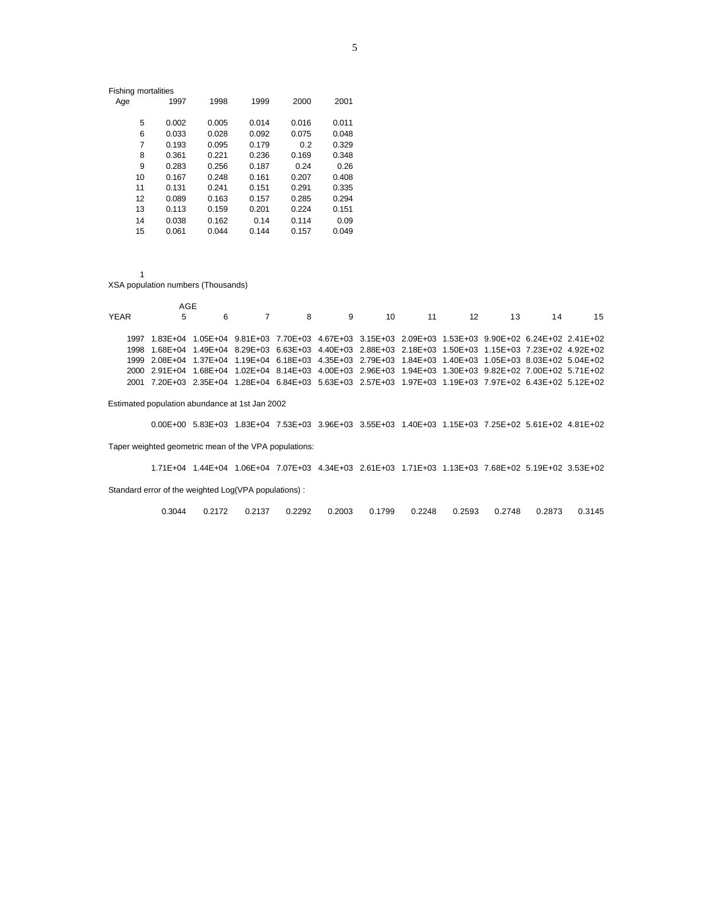| <b>Fishing mortalities</b> |       |       |       |       |       |
|----------------------------|-------|-------|-------|-------|-------|
| Age                        | 1997  | 1998  | 1999  | 2000  | 2001  |
| 5                          | 0.002 | 0.005 | 0.014 | 0.016 | 0.011 |
| 6                          | 0.033 | 0.028 | 0.092 | 0.075 | 0.048 |
| 7                          | 0.193 | 0.095 | 0.179 | 0.2   | 0.329 |
| 8                          | 0.361 | 0.221 | 0.236 | 0.169 | 0.348 |
| 9                          | 0.283 | 0.256 | 0.187 | 0.24  | 0.26  |
| 10                         | 0.167 | 0.248 | 0.161 | 0.207 | 0.408 |
| 11                         | 0.131 | 0.241 | 0.151 | 0.291 | 0.335 |
| 12                         | 0.089 | 0.163 | 0.157 | 0.285 | 0.294 |
| 13                         | 0.113 | 0.159 | 0.201 | 0.224 | 0.151 |
| 14                         | 0.038 | 0.162 | 0.14  | 0.114 | 0.09  |
| 15                         | 0.061 | 0.044 | 0.144 | 0.157 | 0.049 |
|                            |       |       |       |       |       |

#### XSA population numbers (Thousands)

|      | AGE |  |  |  |                                                                                                         |    |
|------|-----|--|--|--|---------------------------------------------------------------------------------------------------------|----|
| YFAR | 5   |  |  |  | 6 7 8 9 10 11 12 13 14                                                                                  | 15 |
|      |     |  |  |  |                                                                                                         |    |
|      |     |  |  |  | 1997 1.83E+04 1.05E+04 9.81E+03 7.70E+03 4.67E+03 3.15E+03 2.09E+03 1.53E+03 9.90E+02 6.24E+02 2.41E+02 |    |
|      |     |  |  |  | 1998 1.68E+04 1.49E+04 8.29E+03 6.63E+03 4.40E+03 2.88E+03 2.18E+03 1.50E+03 1.15E+03 7.23E+02 4.92E+02 |    |
|      |     |  |  |  | 1999 2.08E+04 1.37E+04 1.19E+04 6.18E+03 4.35E+03 2.79E+03 1.84E+03 1.40E+03 1.05E+03 8.03E+02 5.04E+02 |    |
|      |     |  |  |  | 2000 2.91E+04 1.68E+04 1.02E+04 8.14E+03 4.00E+03 2.96E+03 1.94E+03 1.30E+03 9.82E+02 7.00E+02 5.71E+02 |    |
|      |     |  |  |  | 2001 7.20E+03 2.35E+04 1.28E+04 6.84E+03 5.63E+03 2.57E+03 1.97E+03 1.19E+03 7.97E+02 6.43E+02 5.12E+02 |    |

#### Estimated population abundance at 1st Jan 2002

 0.00E+00 5.83E+03 1.83E+04 7.53E+03 3.96E+03 3.55E+03 1.40E+03 1.15E+03 7.25E+02 5.61E+02 4.81E+02 Taper weighted geometric mean of the VPA populations:

1.71E+04 1.44E+04 1.06E+04 7.07E+03 4.34E+03 2.61E+03 1.71E+03 1.13E+03 7.68E+02 5.19E+02 3.53E+02

Standard error of the weighted Log(VPA populations) :

0.3044 0.2172 0.2137 0.2292 0.2003 0.1799 0.2248 0.2593 0.2748 0.2873 0.3145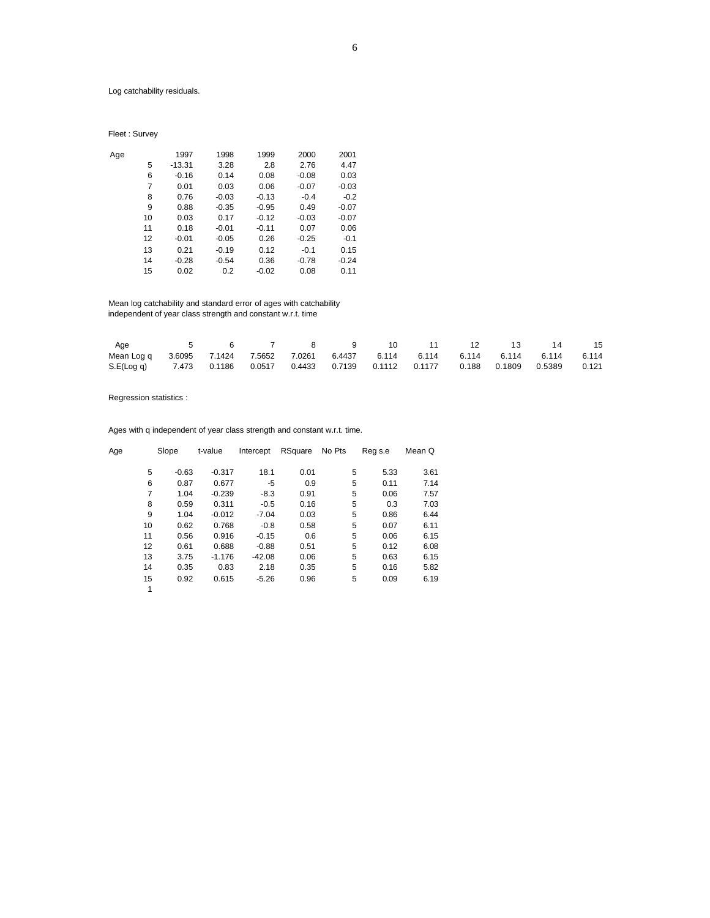Log catchability residuals.

Fleet : Survey

| Age |    | 1997     | 1998    | 1999    | 2000    | 2001    |
|-----|----|----------|---------|---------|---------|---------|
|     | 5  | $-13.31$ | 3.28    | 2.8     | 2.76    | 4.47    |
|     | 6  | $-0.16$  | 0.14    | 0.08    | $-0.08$ | 0.03    |
|     | 7  | 0.01     | 0.03    | 0.06    | $-0.07$ | $-0.03$ |
|     | 8  | 0.76     | $-0.03$ | $-0.13$ | $-0.4$  | $-0.2$  |
|     | 9  | 0.88     | $-0.35$ | $-0.95$ | 0.49    | $-0.07$ |
|     | 10 | 0.03     | 0.17    | $-0.12$ | $-0.03$ | $-0.07$ |
|     | 11 | 0.18     | $-0.01$ | $-0.11$ | 0.07    | 0.06    |
|     | 12 | $-0.01$  | $-0.05$ | 0.26    | $-0.25$ | $-0.1$  |
|     | 13 | 0.21     | $-0.19$ | 0.12    | $-0.1$  | 0.15    |
|     | 14 | $-0.28$  | $-0.54$ | 0.36    | $-0.78$ | $-0.24$ |
|     | 15 | 0.02     | 0.2     | $-0.02$ | 0.08    | 0.11    |
|     |    |          |         |         |         |         |

 Mean log catchability and standard error of ages with catchability independent of year class strength and constant w.r.t. time

| Age                                                                                  |  |  | 6 7 8 9 10 |  | 11 12 13 | 14 | - 15 |
|--------------------------------------------------------------------------------------|--|--|------------|--|----------|----|------|
| Mean Log q 3.6095 7.1424 7.5652 7.0261 6.4437 6.114 6.114 6.114 6.114 6.114 6.114    |  |  |            |  |          |    |      |
| S.E(Log q) 7.473 0.1186 0.0517 0.4433 0.7139 0.1112 0.1177 0.188 0.1809 0.5389 0.121 |  |  |            |  |          |    |      |

Regression statistics :

Ages with q independent of year class strength and constant w.r.t. time.

| Age |    | Slope   | t-value  | Intercept | RSquare | No Pts | Reg s.e | Mean Q |
|-----|----|---------|----------|-----------|---------|--------|---------|--------|
|     |    |         |          |           |         |        |         |        |
|     | 5  | $-0.63$ | $-0.317$ | 18.1      | 0.01    | 5      | 5.33    | 3.61   |
|     | 6  | 0.87    | 0.677    | -5        | 0.9     | 5      | 0.11    | 7.14   |
|     | 7  | 1.04    | $-0.239$ | $-8.3$    | 0.91    | 5      | 0.06    | 7.57   |
|     | 8  | 0.59    | 0.311    | $-0.5$    | 0.16    | 5      | 0.3     | 7.03   |
|     | 9  | 1.04    | $-0.012$ | $-7.04$   | 0.03    | 5      | 0.86    | 6.44   |
|     | 10 | 0.62    | 0.768    | $-0.8$    | 0.58    | 5      | 0.07    | 6.11   |
|     | 11 | 0.56    | 0.916    | $-0.15$   | 0.6     | 5      | 0.06    | 6.15   |
|     | 12 | 0.61    | 0.688    | $-0.88$   | 0.51    | 5      | 0.12    | 6.08   |
|     | 13 | 3.75    | $-1.176$ | $-42.08$  | 0.06    | 5      | 0.63    | 6.15   |
|     | 14 | 0.35    | 0.83     | 2.18      | 0.35    | 5      | 0.16    | 5.82   |
|     | 15 | 0.92    | 0.615    | $-5.26$   | 0.96    | 5      | 0.09    | 6.19   |
|     | 1  |         |          |           |         |        |         |        |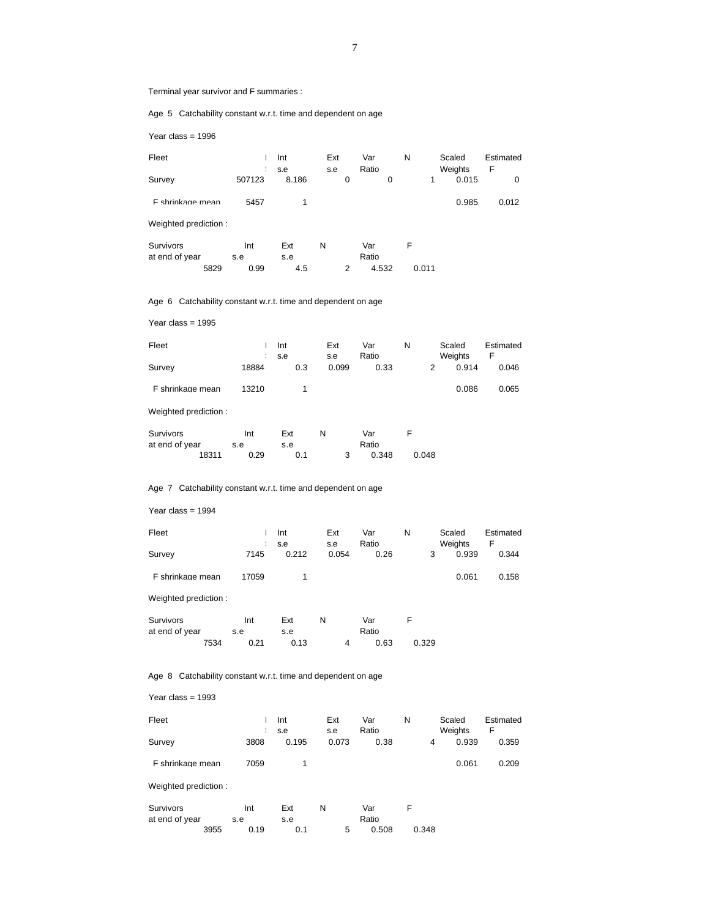Terminal year survivor and F summaries :

Age 5 Catchability constant w.r.t. time and dependent on age

Year class = 1996

| Fleet  |        | Int   | Ext | Var   | N | Scaled  | Estimated |  |
|--------|--------|-------|-----|-------|---|---------|-----------|--|
|        |        | : s.e | s.e | Ratio |   | Weights | - F       |  |
| Survey | 507123 | 8.186 |     |       |   | 0.015   |           |  |

| F shrinkage mean | 5457 | 0.985 | 0.012 |
|------------------|------|-------|-------|
|                  |      |       |       |

Weighted prediction :

| Survivors      |      | Ext<br>Int |     |  | Var   |       |  |
|----------------|------|------------|-----|--|-------|-------|--|
| at end of year |      | s.e        | s.e |  | Ratio |       |  |
|                | 5829 | 0.99       | 4.5 |  | 4.532 | 0.011 |  |

Age 6 Catchability constant w.r.t. time and dependent on age

Year class = 1995

| Fleet            |       | Int<br>s.e | Ext<br>s.e | Var<br>Ratio | N | Scaled<br>Weights | Estimated |
|------------------|-------|------------|------------|--------------|---|-------------------|-----------|
| Survey           | 18884 | 0.3        | 0.099      | 0.33         |   | 0.914             | 0.046     |
| F shrinkage mean | 13210 |            |            |              |   | 0.086             | 0.065     |

Weighted prediction :

| Survivors      |       | Int  | Ext |  | Var   |       |  |
|----------------|-------|------|-----|--|-------|-------|--|
| at end of year |       | s.e  | s.e |  | Ratio |       |  |
|                | 18311 | 0.29 |     |  | 0.348 | 0.048 |  |

# Age 7 Catchability constant w.r.t. time and dependent on age

Year class = 1994

| Fleet            |       | Int   | Ext   | Var   | N | Scaled         | Estimated |
|------------------|-------|-------|-------|-------|---|----------------|-----------|
|                  |       | s.e   | s.e   | Ratio |   | <b>Weights</b> | F         |
| Survey           | 7145  | 0.212 | 0.054 | 0.26  |   | 0.939          | 0.344     |
| F shrinkage mean | 17059 |       |       |       |   | 0.061          | 0.158     |

Weighted prediction :

| Survivors      |      | Int  | Ext  |   | Var   |       |
|----------------|------|------|------|---|-------|-------|
| at end of year |      | s.e  | s.e  |   | Ratio |       |
|                | 7534 | 0.21 | 0.13 | Δ | 0.63  | 0.329 |

Age 8 Catchability constant w.r.t. time and dependent on age

#### Year class = 1993

| Fleet            |      | Int<br>s.e | Ext<br>s.e | Var<br>Ratio | N |   | Scaled<br>Weights | Estimated |
|------------------|------|------------|------------|--------------|---|---|-------------------|-----------|
| Survey           | 3808 | 0.195      | 0.073      | 0.38         |   | 4 | 0.939             | 0.359     |
| F shrinkage mean | 7059 |            |            |              |   |   | 0.061             | 0.209     |

Weighted prediction :

| Survivors      |      | Int  | Ext | N | Var   |       |
|----------------|------|------|-----|---|-------|-------|
| at end of year |      | s.e  | s.e |   | Ratio |       |
|                | 3955 | 0.19 |     |   | 0.508 | 0.348 |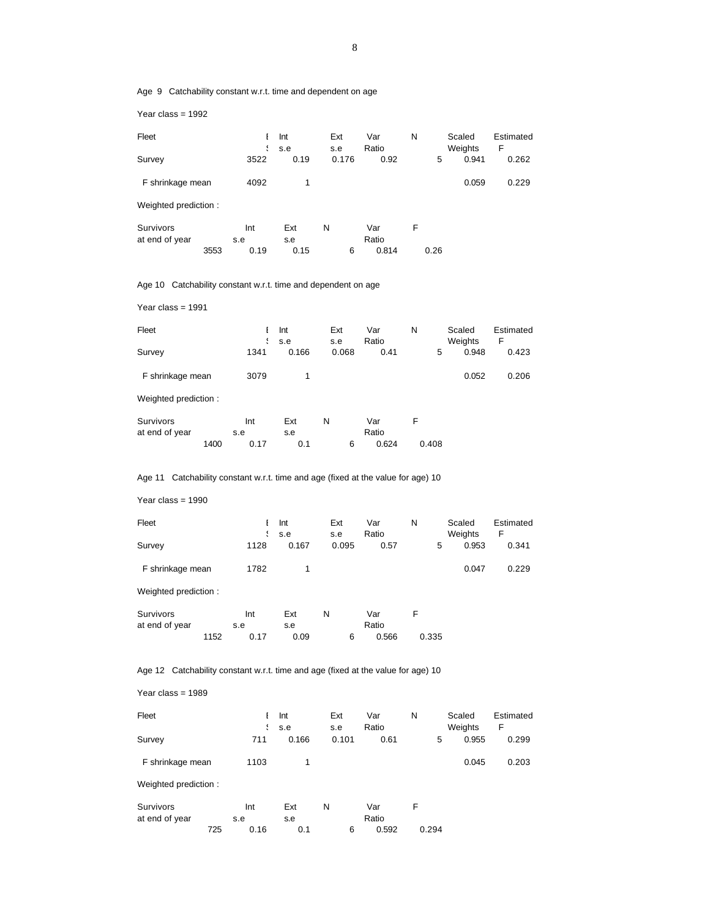Age 9 Catchability constant w.r.t. time and dependent on age

Year class = 1992

| Fleet            |      | Int<br>$\frac{1}{2}$ s.e. | Ext<br>s.e | Var<br>Ratio | N |              | Scaled<br>Weights | Estimated<br>F |
|------------------|------|---------------------------|------------|--------------|---|--------------|-------------------|----------------|
| Survey           | 3522 | 0.19                      | 0.176      | 0.92         |   | <sub>5</sub> | 0.941             | 0.262          |
| F shrinkage mean | 4092 |                           |            |              |   |              | 0.059             | 0.229          |

Weighted prediction :

| Survivors      |      | Int  | Ext  | N | Var   |      |  |
|----------------|------|------|------|---|-------|------|--|
| at end of year |      | s.e  | s.e  |   | Ratio |      |  |
|                | 3553 | 0.19 | 0.15 |   | 0.814 | 0.26 |  |

Age 10 Catchability constant w.r.t. time and dependent on age

Year class = 1991

| Fleet            |      | Int<br>s.e | Ext<br>s.e | Var<br>Ratio | N |   | Scaled<br>Weights | Estimated<br>F |
|------------------|------|------------|------------|--------------|---|---|-------------------|----------------|
| Survey           | 1341 | 0.166      | 0.068      | 0.41         |   | 5 | 0.948             | 0.423          |
| F shrinkage mean | 3079 |            |            |              |   |   | 0.052             | 0.206          |

Weighted prediction :

| Survivors      |      | Int  | Ext |  | Var   |       |
|----------------|------|------|-----|--|-------|-------|
| at end of year |      | s.e  | s.e |  | Ratio |       |
|                | 1400 | 0.17 |     |  | 0.624 | 0.408 |

Age 11 Catchability constant w.r.t. time and age (fixed at the value for age) 10

Year class = 1990

| Fleet            |      | Int   | Ext   | Var   | N |   | Scaled  | Estimated |
|------------------|------|-------|-------|-------|---|---|---------|-----------|
|                  |      | s.e   | s.e   | Ratio |   |   | Weights |           |
| Survey           | 1128 | 0.167 | 0.095 | 0.57  |   | 5 | 0.953   | 0.341     |
| F shrinkage mean | 1782 |       |       |       |   |   | 0.047   | 0.229     |

Weighted prediction :

| Survivors      |      | Int  | Ext  |  | Var   |       |
|----------------|------|------|------|--|-------|-------|
| at end of year |      | s.e  | s.e  |  | Ratio |       |
|                | 1152 | 0.17 | 0.09 |  | 0.566 | 0.335 |

Age 12 Catchability constant w.r.t. time and age (fixed at the value for age) 10

Year class = 1989

| Fleet            |      | Int<br>$\frac{1}{2}$ s.e. | Ext<br>s.e | Var<br>Ratio | N | Scaled<br>Weights |       | Estimated |  |
|------------------|------|---------------------------|------------|--------------|---|-------------------|-------|-----------|--|
| Survey           | 711  | 0.166                     | 0.101      | 0.61         |   | 5                 | 0.955 | 0.299     |  |
| F shrinkage mean | 1103 |                           |            |              |   |                   | 0.045 | 0.203     |  |

Weighted prediction :

| Survivors      |             | Int | Ext |       | Var |       |
|----------------|-------------|-----|-----|-------|-----|-------|
| at end of year | s.e         |     | s.e | Ratio |     |       |
|                | 725<br>0.16 |     |     | 0.592 |     | 0.294 |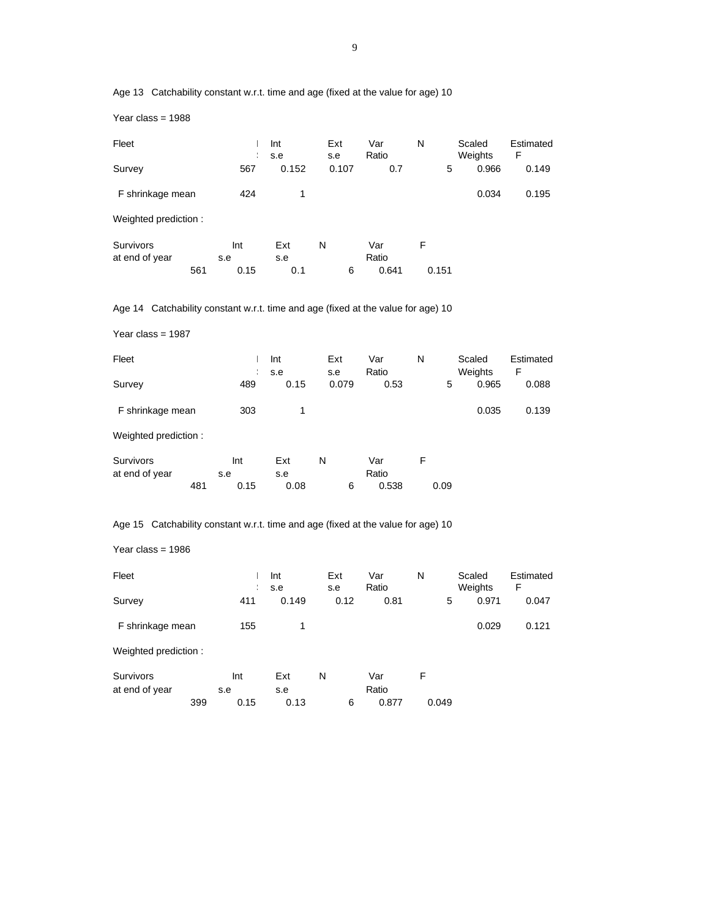Age 13 Catchability constant w.r.t. time and age (fixed at the value for age) 10

Year class = 1988

| Fleet                                                                            |     | $\ddot{\phantom{1}}$ | Int<br>s.e | Ext<br>s.e | Var<br>Ratio | N     | Scaled<br>Weights | Estimated<br>F |  |  |  |  |  |
|----------------------------------------------------------------------------------|-----|----------------------|------------|------------|--------------|-------|-------------------|----------------|--|--|--|--|--|
| Survey                                                                           |     | 567                  | 0.152      | 0.107      | 0.7          | 5     | 0.966             | 0.149          |  |  |  |  |  |
| F shrinkage mean                                                                 |     | 424                  | 1          |            |              |       | 0.034             | 0.195          |  |  |  |  |  |
| Weighted prediction:                                                             |     |                      |            |            |              |       |                   |                |  |  |  |  |  |
| <b>Survivors</b><br>at end of year                                               |     | Int<br>s.e           | Ext<br>s.e | N          | Var<br>Ratio | F     |                   |                |  |  |  |  |  |
|                                                                                  | 561 | 0.15                 | 0.1        | 6          | 0.641        | 0.151 |                   |                |  |  |  |  |  |
| Age 14 Catchability constant w.r.t. time and age (fixed at the value for age) 10 |     |                      |            |            |              |       |                   |                |  |  |  |  |  |
| Year class = $1987$                                                              |     |                      |            |            |              |       |                   |                |  |  |  |  |  |

| Fleet            |     | Int  | Ext   | Var   | N |   | Scaled  | Estimated |
|------------------|-----|------|-------|-------|---|---|---------|-----------|
|                  |     | s.e  | s.e   | Ratio |   |   | Weights | F         |
| Survey           | 489 | 0.15 | 0.079 | 0.53  |   | 5 | 0.965   | 0.088     |
| F shrinkage mean | 303 |      |       |       |   |   | 0.035   | 0.139     |

Weighted prediction :

| Survivors      |             | Int | Ext  | N |       | Var   |  |      |
|----------------|-------------|-----|------|---|-------|-------|--|------|
| at end of year | s.e         |     | s.e  |   | Ratio |       |  |      |
|                | 481<br>0.15 |     | 0.08 |   |       | 0.538 |  | 0.09 |

Age 15 Catchability constant w.r.t. time and age (fixed at the value for age) 10

Year class = 1986

| Fleet                              |     | $\ddot{\phantom{1}}$ | Int<br>s.e | Ext<br>s.e | Var<br>Ratio | N     | Scaled<br>Weights | Estimated<br>F |
|------------------------------------|-----|----------------------|------------|------------|--------------|-------|-------------------|----------------|
| Survey                             |     | 411                  | 0.149      | 0.12       | 0.81         | 5     | 0.971             | 0.047          |
| F shrinkage mean                   |     | 155                  | 1          |            |              |       | 0.029             | 0.121          |
| Weighted prediction:               |     |                      |            |            |              |       |                   |                |
| <b>Survivors</b><br>at end of year |     | Int<br>s.e           | Ext<br>s.e | N          | Var<br>Ratio | F     |                   |                |
|                                    | 399 | 0.15                 | 0.13       | 6          | 0.877        | 0.049 |                   |                |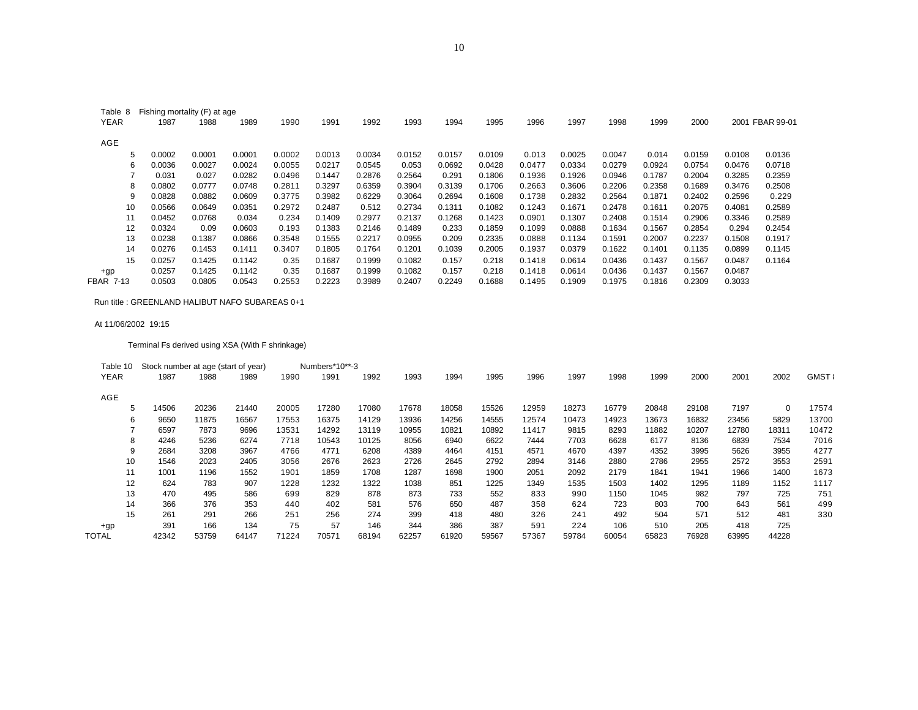| Table 8          | Fishing mortality (F) at age |        |        |        |        |        |        |        |        |        |        |        |        |        |        |            |
|------------------|------------------------------|--------|--------|--------|--------|--------|--------|--------|--------|--------|--------|--------|--------|--------|--------|------------|
| <b>YEAR</b>      | 1987                         | 1988   | 1989   | 1990   | 1991   | 1992   | 1993   | 1994   | 1995   | 1996   | 1997   | 1998   | 1999   | 2000   | 2001   | FBAR 99-01 |
| AGE              |                              |        |        |        |        |        |        |        |        |        |        |        |        |        |        |            |
| 5.               | 0.0002                       | 0.0001 | 0.0001 | 0.0002 | 0.0013 | 0.0034 | 0.0152 | 0.0157 | 0.0109 | 0.013  | 0.0025 | 0.0047 | 0.014  | 0.0159 | 0.0108 | 0.0136     |
| 6                | 0.0036                       | 0.0027 | 0.0024 | 0.0055 | 0.0217 | 0.0545 | 0.053  | 0.0692 | 0.0428 | 0.0477 | 0.0334 | 0.0279 | 0.0924 | 0.0754 | 0.0476 | 0.0718     |
|                  | 0.031                        | 0.027  | 0.0282 | 0.0496 | 0.1447 | 0.2876 | 0.2564 | 0.291  | 0.1806 | 0.1936 | 0.1926 | 0.0946 | 0.1787 | 0.2004 | 0.3285 | 0.2359     |
| 8                | 0.0802                       | 0.0777 | 0.0748 | 0.2811 | 0.3297 | 0.6359 | 0.3904 | 0.3139 | 0.1706 | 0.2663 | 0.3606 | 0.2206 | 0.2358 | 0.1689 | 0.3476 | 0.2508     |
| 9                | 0.0828                       | 0.0882 | 0.0609 | 0.3775 | 0.3982 | 0.6229 | 0.3064 | 0.2694 | 0.1608 | 0.1738 | 0.2832 | 0.2564 | 0.1871 | 0.2402 | 0.2596 | 0.229      |
| 10               | 0.0566                       | 0.0649 | 0.0351 | 0.2972 | 0.2487 | 0.512  | 0.2734 | 0.1311 | 0.1082 | 0.1243 | 0.1671 | 0.2478 | 0.1611 | 0.2075 | 0.4081 | 0.2589     |
| 11               | 0.0452                       | 0.0768 | 0.034  | 0.234  | 0.1409 | 0.2977 | 0.2137 | 0.1268 | 0.1423 | 0.0901 | 0.1307 | 0.2408 | 0.1514 | 0.2906 | 0.3346 | 0.2589     |
| 12               | 0.0324                       | 0.09   | 0.0603 | 0.193  | 0.1383 | 0.2146 | 0.1489 | 0.233  | 0.1859 | 0.1099 | 0.0888 | 0.1634 | 0.1567 | 0.2854 | 0.294  | 0.2454     |
| 13               | 0.0238                       | 0.1387 | 0.0866 | 0.3548 | 0.1555 | 0.2217 | 0.0955 | 0.209  | 0.2335 | 0.0888 | 0.1134 | 0.1591 | 0.2007 | 0.2237 | 0.1508 | 0.1917     |
| 14               | 0.0276                       | 0.1453 | 0.1411 | 0.3407 | 0.1805 | 0.1764 | 0.1201 | 0.1039 | 0.2005 | 0.1937 | 0.0379 | 0.1622 | 0.1401 | 0.1135 | 0.0899 | 0.1145     |
| 15               | 0.0257                       | 0.1425 | 0.1142 | 0.35   | 0.1687 | 0.1999 | 0.1082 | 0.157  | 0.218  | 0.1418 | 0.0614 | 0.0436 | 0.1437 | 0.1567 | 0.0487 | 0.1164     |
| $+gp$            | 0.0257                       | 0.1425 | 0.1142 | 0.35   | 0.1687 | 0.1999 | 0.1082 | 0.157  | 0.218  | 0.1418 | 0.0614 | 0.0436 | 0.1437 | 0.1567 | 0.0487 |            |
| <b>FBAR 7-13</b> | 0.0503                       | 0.0805 | 0.0543 | 0.2553 | 0.2223 | 0.3989 | 0.2407 | 0.2249 | 0.1688 | 0.1495 | 0.1909 | 0.1975 | 0.1816 | 0.2309 | 0.3033 |            |

Run title : GREENLAND HALIBUT NAFO SUBAREAS 0+1

#### At 11/06/2002 19:15

Terminal Fs derived using XSA (With F shrinkage)

| Table 10 | Stock number at age (start of year) |       |       |       | Numbers*10**-3 |       |       |       |       |       |       |       |       |       |       |              |             |
|----------|-------------------------------------|-------|-------|-------|----------------|-------|-------|-------|-------|-------|-------|-------|-------|-------|-------|--------------|-------------|
| YEAR     | 1987                                | 1988  | 1989  | 1990  | 1991           | 1992  | 1993  | 1994  | 1995  | 1996  | 1997  | 1998  | 1999  | 2000  | 2001  | 2002         | <b>GMST</b> |
| AGE      |                                     |       |       |       |                |       |       |       |       |       |       |       |       |       |       |              |             |
|          | 14506                               | 20236 | 21440 | 20005 | 17280          | 17080 | 17678 | 18058 | 15526 | 12959 | 18273 | 16779 | 20848 | 29108 | 7197  | $\mathbf{0}$ | 17574       |
| 6        | 9650                                | 11875 | 16567 | 17553 | 16375          | 14129 | 13936 | 14256 | 14555 | 12574 | 10473 | 14923 | 13673 | 16832 | 23456 | 5829         | 13700       |
|          | 6597                                | 7873  | 9696  | 13531 | 14292          | 13119 | 10955 | 10821 | 10892 | 11417 | 9815  | 8293  | 11882 | 10207 | 12780 | 18311        | 10472       |
| 8        | 4246                                | 5236  | 6274  | 7718  | 10543          | 10125 | 8056  | 6940  | 6622  | 7444  | 7703  | 6628  | 6177  | 8136  | 6839  | 7534         | 7016        |
| 9        | 2684                                | 3208  | 3967  | 4766  | 4771           | 6208  | 4389  | 4464  | 4151  | 4571  | 4670  | 4397  | 4352  | 3995  | 5626  | 3955         | 4277        |
| 10       | 1546                                | 2023  | 2405  | 3056  | 2676           | 2623  | 2726  | 2645  | 2792  | 2894  | 3146  | 2880  | 2786  | 2955  | 2572  | 3553         | 2591        |
| 11       | 1001                                | 1196  | 1552  | 1901  | 1859           | 1708  | 1287  | 1698  | 1900  | 2051  | 2092  | 2179  | 1841  | 1941  | 1966  | 1400         | 1673        |
| 12       | 624                                 | 783   | 907   | 1228  | 1232           | 1322  | 1038  | 851   | 1225  | 1349  | 1535  | 1503  | 1402  | 1295  | 1189  | 1152         | 1117        |
| 13       | 470                                 | 495   | 586   | 699   | 829            | 878   | 873   | 733   | 552   | 833   | 990   | 1150  | 1045  | 982   | 797   | 725          | 751         |
| 14       | 366                                 | 376   | 353   | 440   | 402            | 581   | 576   | 650   | 487   | 358   | 624   | 723   | 803   | 700   | 643   | 561          | 499         |
| 15       | 261                                 | 291   | 266   | 251   | 256            | 274   | 399   | 418   | 480   | 326   | 241   | 492   | 504   | 571   | 512   | 481          | 330         |
| $+qp$    | 391                                 | 166   | 134   | 75    | 57             | 146   | 344   | 386   | 387   | 591   | 224   | 106   | 510   | 205   | 418   | 725          |             |
| TOTAL    | 42342                               | 53759 | 64147 | 71224 | 70571          | 68194 | 62257 | 61920 | 59567 | 57367 | 59784 | 60054 | 65823 | 76928 | 63995 | 44228        |             |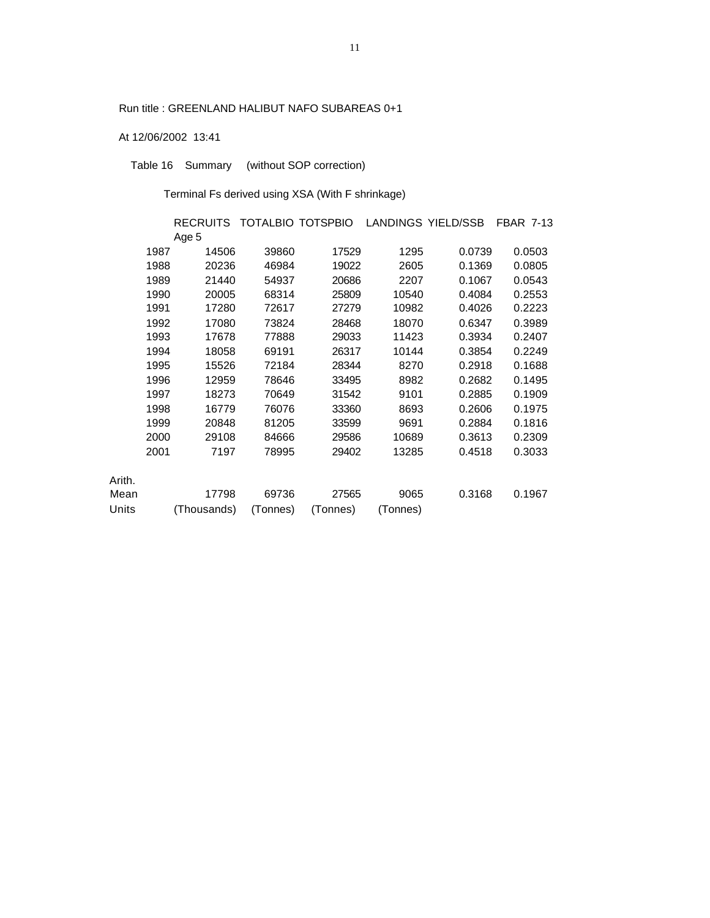# Run title : GREENLAND HALIBUT NAFO SUBAREAS 0+1

# At 12/06/2002 13:41

Table 16 Summary (without SOP correction)

Terminal Fs derived using XSA (With F shrinkage)

|        |      | RECRUITS TOTALBIO TOTSPBIO |          |          |          | LANDINGS YIELD/SSB | <b>FBAR 7-13</b> |
|--------|------|----------------------------|----------|----------|----------|--------------------|------------------|
|        |      | Age 5                      |          |          |          |                    |                  |
|        | 1987 | 14506                      | 39860    | 17529    | 1295     | 0.0739             | 0.0503           |
|        | 1988 | 20236                      | 46984    | 19022    | 2605     | 0.1369             | 0.0805           |
|        | 1989 | 21440                      | 54937    | 20686    | 2207     | 0.1067             | 0.0543           |
|        | 1990 | 20005                      | 68314    | 25809    | 10540    | 0.4084             | 0.2553           |
|        | 1991 | 17280                      | 72617    | 27279    | 10982    | 0.4026             | 0.2223           |
|        | 1992 | 17080                      | 73824    | 28468    | 18070    | 0.6347             | 0.3989           |
|        | 1993 | 17678                      | 77888    | 29033    | 11423    | 0.3934             | 0.2407           |
|        | 1994 | 18058                      | 69191    | 26317    | 10144    | 0.3854             | 0.2249           |
|        | 1995 | 15526                      | 72184    | 28344    | 8270     | 0.2918             | 0.1688           |
|        | 1996 | 12959                      | 78646    | 33495    | 8982     | 0.2682             | 0.1495           |
|        | 1997 | 18273                      | 70649    | 31542    | 9101     | 0.2885             | 0.1909           |
|        | 1998 | 16779                      | 76076    | 33360    | 8693     | 0.2606             | 0.1975           |
|        | 1999 | 20848                      | 81205    | 33599    | 9691     | 0.2884             | 0.1816           |
|        | 2000 | 29108                      | 84666    | 29586    | 10689    | 0.3613             | 0.2309           |
|        | 2001 | 7197                       | 78995    | 29402    | 13285    | 0.4518             | 0.3033           |
|        |      |                            |          |          |          |                    |                  |
| Arith. |      |                            |          |          |          |                    |                  |
| Mean   |      | 17798                      | 69736    | 27565    | 9065     | 0.3168             | 0.1967           |
| Units  |      | (Thousands)                | (Tonnes) | (Tonnes) | (Tonnes) |                    |                  |